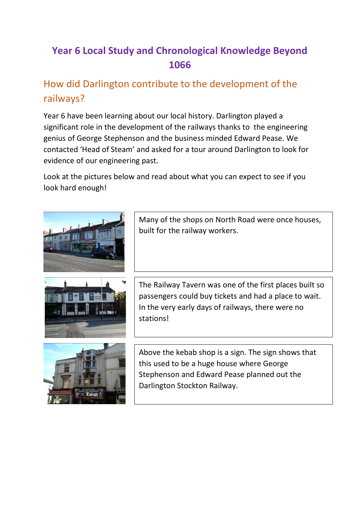## **Year 6 Local Study and Chronological Knowledge Beyond 1066**

## How did Darlington contribute to the development of the railways?

Year 6 have been learning about our local history. Darlington played a significant role in the development of the railways thanks to the engineering genius of George Stephenson and the business minded Edward Pease. We contacted 'Head of Steam' and asked for a tour around Darlington to look for evidence of our engineering past.

Look at the pictures below and read about what you can expect to see if you look hard enough!



Many of the shops on North Road were once houses, built for the railway workers.



The Railway Tavern was one of the first places built so passengers could buy tickets and had a place to wait. In the very early days of railways, there were no stations!



Above the kebab shop is a sign. The sign shows that this used to be a huge house where George Stephenson and Edward Pease planned out the Darlington Stockton Railway.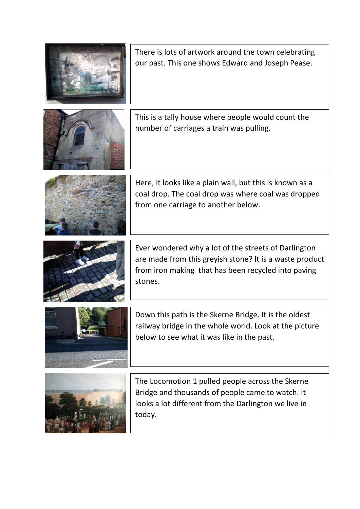| There is lots of artwork around the town celebrating<br>our past. This one shows Edward and Joseph Pease.                                                                         |
|-----------------------------------------------------------------------------------------------------------------------------------------------------------------------------------|
| This is a tally house where people would count the<br>number of carriages a train was pulling.                                                                                    |
| Here, it looks like a plain wall, but this is known as a<br>coal drop. The coal drop was where coal was dropped<br>from one carriage to another below.                            |
| Ever wondered why a lot of the streets of Darlington<br>are made from this greyish stone? It is a waste product<br>from iron making that has been recycled into paving<br>stones. |
| Down this path is the Skerne Bridge. It is the oldest<br>railway bridge in the whole world. Look at the picture<br>below to see what it was like in the past.                     |
| The Locomotion 1 pulled people across the Skerne                                                                                                                                  |



Bridge and thousands of people came to watch. It looks a lot different from the Darlington we live in today.